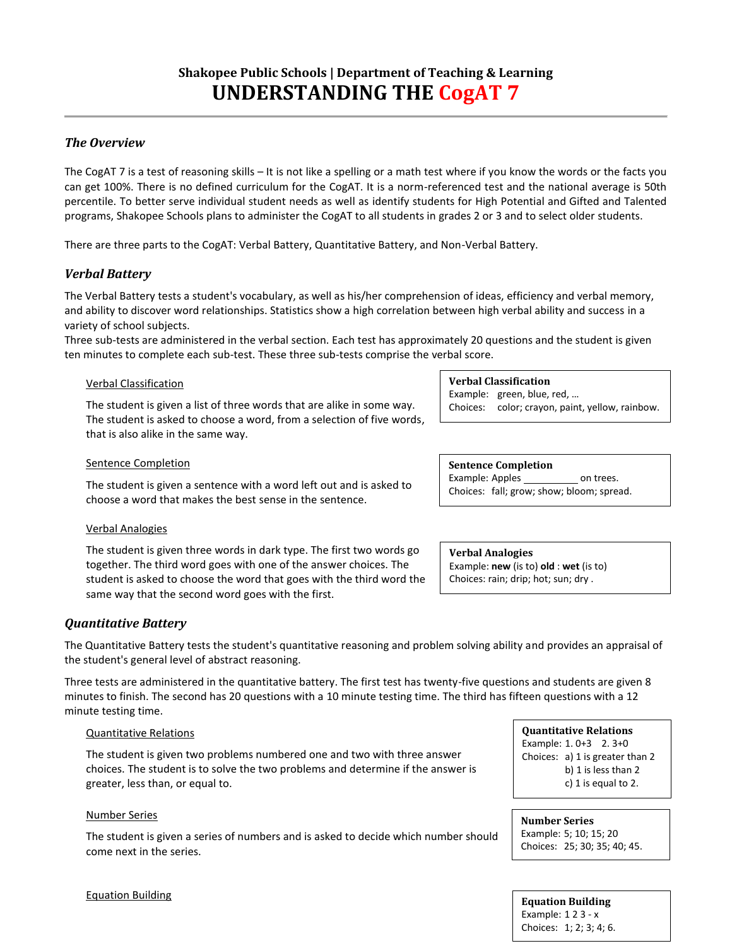# *The Overview*

The CogAT 7 is a test of reasoning skills – It is not like a spelling or a math test where if you know the words or the facts you can get 100%. There is no defined curriculum for the CogAT. It is a norm-referenced test and the national average is 50th percentile. To better serve individual student needs as well as identify students for High Potential and Gifted and Talented programs, Shakopee Schools plans to administer the CogAT to all students in grades 2 or 3 and to select older students.

There are three parts to the CogAT: Verbal Battery, Quantitative Battery, and Non-Verbal Battery.

# *Verbal Battery*

The Verbal Battery tests a student's vocabulary, as well as his/her comprehension of ideas, efficiency and verbal memory, and ability to discover word relationships. Statistics show a high correlation between high verbal ability and success in a variety of school subjects.

Three sub-tests are administered in the verbal section. Each test has approximately 20 questions and the student is given ten minutes to complete each sub-test. These three sub-tests comprise the verbal score.

# Verbal Classification

The student is given a list of three words that are alike in some way. The student is asked to choose a word, from a selection of five words, that is also alike in the same way.

# Sentence Completion

The student is given a sentence with a word left out and is asked to choose a word that makes the best sense in the sentence.

# Verbal Analogies

The student is given three words in dark type. The first two words go together. The third word goes with one of the answer choices. The student is asked to choose the word that goes with the third word the same way that the second word goes with the first.

# **Verbal Classification**

Example: green, blue, red, … Choices: color; crayon, paint, yellow, rainbow.

## **Sentence Completion** Example: Apples \_\_\_\_\_\_\_\_\_\_\_\_ on trees.

Choices: fall; grow; show; bloom; spread.

**Verbal Analogies** Example: **new** (is to) **old** : **wet** (is to) Choices: rain; drip; hot; sun; dry .

# *Quantitative Battery*

The Quantitative Battery tests the student's quantitative reasoning and problem solving ability and provides an appraisal of the student's general level of abstract reasoning.

Three tests are administered in the quantitative battery. The first test has twenty-five questions and students are given 8 minutes to finish. The second has 20 questions with a 10 minute testing time. The third has fifteen questions with a 12 minute testing time.

# Quantitative Relations

The student is given two problems numbered one and two with three answer choices. The student is to solve the two problems and determine if the answer is greater, less than, or equal to.

# Number Series

The student is given a series of numbers and is asked to decide which number should come next in the series.

#### Equation Building

**Quantitative Relations** Example: 1. 0+3 2. 3+0 Choices: a) 1 is greater than 2 b) 1 is less than 2 c) 1 is equal to 2.

**Number Series** Example: 5; 10; 15; 20 Choices: 25; 30; 35; 40; 45.

## **Equation Building** Example: 1 2 3 - x Choices: 1; 2; 3; 4; 6.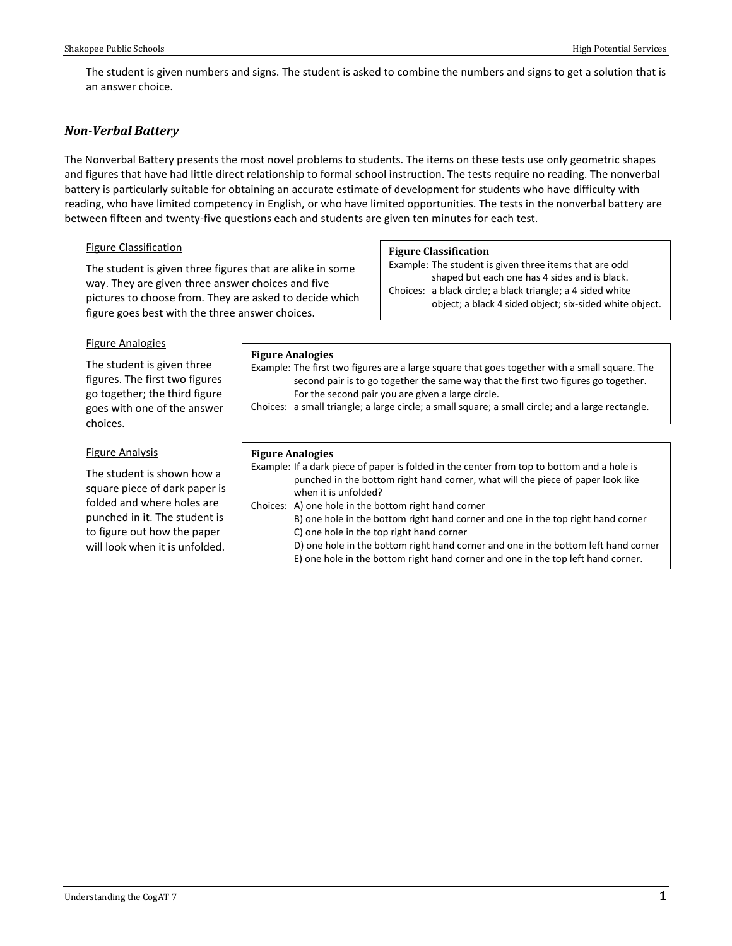The student is given numbers and signs. The student is asked to combine the numbers and signs to get a solution that is an answer choice.

# *Non-Verbal Battery*

The Nonverbal Battery presents the most novel problems to students. The items on these tests use only geometric shapes and figures that have had little direct relationship to formal school instruction. The tests require no reading. The nonverbal battery is particularly suitable for obtaining an accurate estimate of development for students who have difficulty with reading, who have limited competency in English, or who have limited opportunities. The tests in the nonverbal battery are between fifteen and twenty-five questions each and students are given ten minutes for each test.

# Figure Classification

The student is given three figures that are alike in some way. They are given three answer choices and five pictures to choose from. They are asked to decide which figure goes best with the three answer choices.

## **Figure Classification**

Example: The student is given three items that are odd shaped but each one has 4 sides and is black. Choices: a black circle; a black triangle; a 4 sided white object; a black 4 sided object; six-sided white object.

## Figure Analogies

The student is given three figures. The first two figures go together; the third figure goes with one of the answer choices.

## Figure Analysis

The student is shown how a square piece of dark paper is folded and where holes are punched in it. The student is to figure out how the paper will look when it is unfolded.

#### **Figure Analogies**

Example: The first two figures are a large square that goes together with a small square. The second pair is to go together the same way that the first two figures go together. For the second pair you are given a large circle.

Choices: a small triangle; a large circle; a small square; a small circle; and a large rectangle.

#### **Figure Analogies**

Example: If a dark piece of paper is folded in the center from top to bottom and a hole is punched in the bottom right hand corner, what will the piece of paper look like when it is unfolded?

Choices: A) one hole in the bottom right hand corner

B) one hole in the bottom right hand corner and one in the top right hand corner C) one hole in the top right hand corner

D) one hole in the bottom right hand corner and one in the bottom left hand corner E) one hole in the bottom right hand corner and one in the top left hand corner.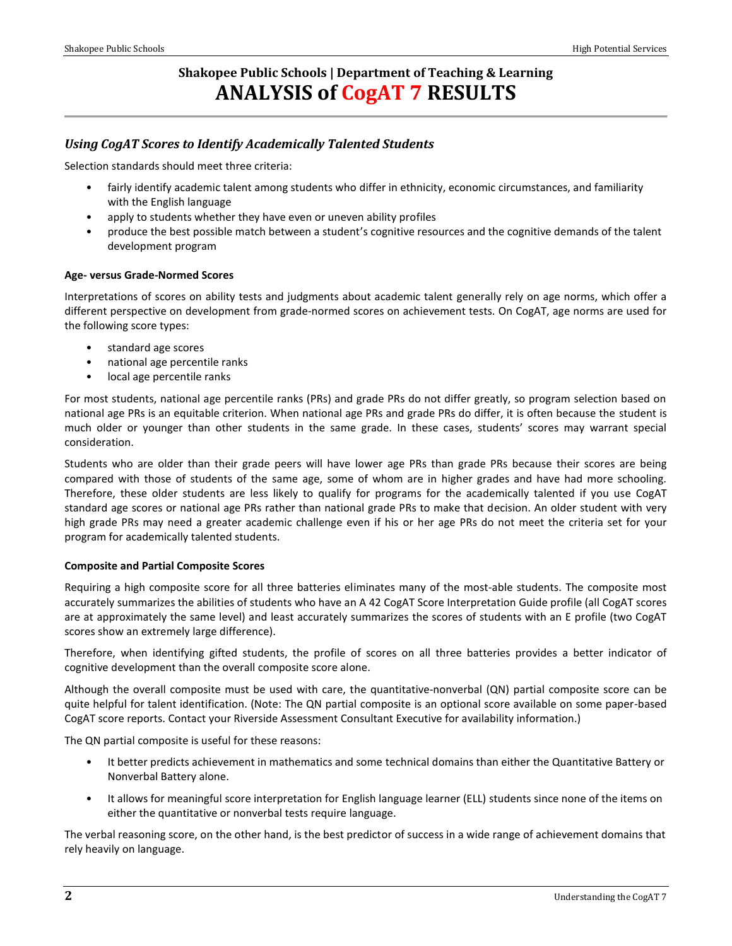# **Shakopee Public Schools | Department of Teaching & Learning ANALYSIS of CogAT 7 RESULTS**

# *Using CogAT Scores to Identify Academically Talented Students*

Selection standards should meet three criteria:

- fairly identify academic talent among students who differ in ethnicity, economic circumstances, and familiarity with the English language
- apply to students whether they have even or uneven ability profiles
- produce the best possible match between a student's cognitive resources and the cognitive demands of the talent development program

# **Age- versus Grade-Normed Scores**

Interpretations of scores on ability tests and judgments about academic talent generally rely on age norms, which offer a different perspective on development from grade-normed scores on achievement tests. On CogAT, age norms are used for the following score types:

- standard age scores
- national age percentile ranks
- local age percentile ranks

For most students, national age percentile ranks (PRs) and grade PRs do not differ greatly, so program selection based on national age PRs is an equitable criterion. When national age PRs and grade PRs do differ, it is often because the student is much older or younger than other students in the same grade. In these cases, students' scores may warrant special consideration.

Students who are older than their grade peers will have lower age PRs than grade PRs because their scores are being compared with those of students of the same age, some of whom are in higher grades and have had more schooling. Therefore, these older students are less likely to qualify for programs for the academically talented if you use CogAT standard age scores or national age PRs rather than national grade PRs to make that decision. An older student with very high grade PRs may need a greater academic challenge even if his or her age PRs do not meet the criteria set for your program for academically talented students.

# **Composite and Partial Composite Scores**

Requiring a high composite score for all three batteries eliminates many of the most-able students. The composite most accurately summarizes the abilities of students who have an A 42 CogAT Score Interpretation Guide profile (all CogAT scores are at approximately the same level) and least accurately summarizes the scores of students with an E profile (two CogAT scores show an extremely large difference).

Therefore, when identifying gifted students, the profile of scores on all three batteries provides a better indicator of cognitive development than the overall composite score alone.

Although the overall composite must be used with care, the quantitative-nonverbal (QN) partial composite score can be quite helpful for talent identification. (Note: The QN partial composite is an optional score available on some paper-based CogAT score reports. Contact your Riverside Assessment Consultant Executive for availability information.)

The QN partial composite is useful for these reasons:

- It better predicts achievement in mathematics and some technical domains than either the Quantitative Battery or Nonverbal Battery alone.
- It allows for meaningful score interpretation for English language learner (ELL) students since none of the items on either the quantitative or nonverbal tests require language.

The verbal reasoning score, on the other hand, is the best predictor of success in a wide range of achievement domains that rely heavily on language.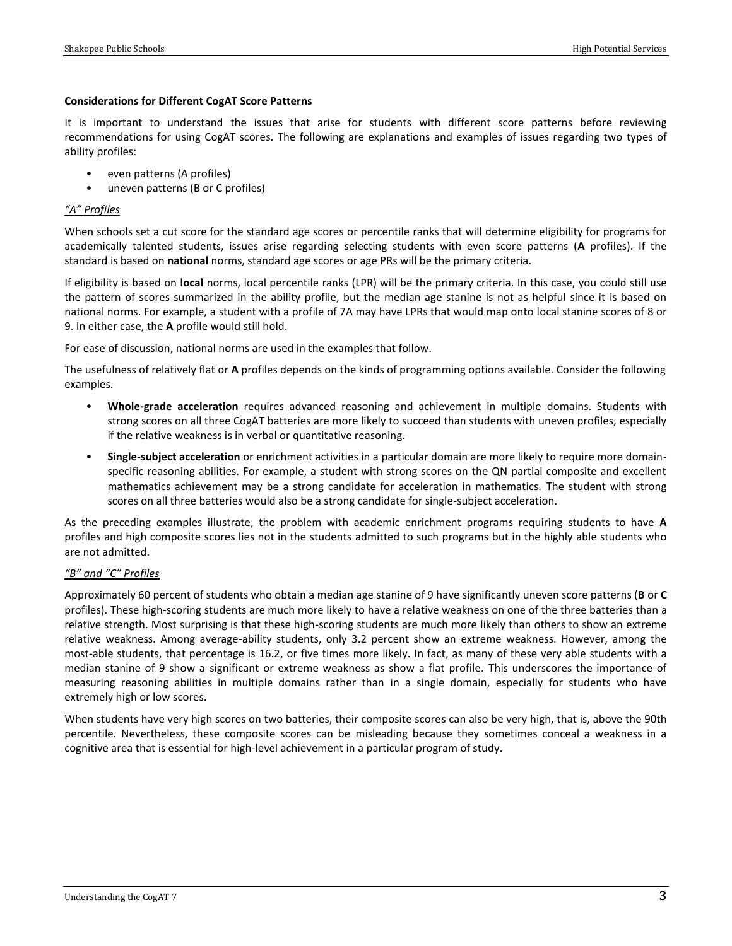## **Considerations for Different CogAT Score Patterns**

It is important to understand the issues that arise for students with different score patterns before reviewing recommendations for using CogAT scores. The following are explanations and examples of issues regarding two types of ability profiles:

- even patterns (A profiles)
- uneven patterns (B or C profiles)

# *"A" Profiles*

When schools set a cut score for the standard age scores or percentile ranks that will determine eligibility for programs for academically talented students, issues arise regarding selecting students with even score patterns (**A** profiles). If the standard is based on **national** norms, standard age scores or age PRs will be the primary criteria.

If eligibility is based on **local** norms, local percentile ranks (LPR) will be the primary criteria. In this case, you could still use the pattern of scores summarized in the ability profile, but the median age stanine is not as helpful since it is based on national norms. For example, a student with a profile of 7A may have LPRs that would map onto local stanine scores of 8 or 9. In either case, the **A** profile would still hold.

For ease of discussion, national norms are used in the examples that follow.

The usefulness of relatively flat or **A** profiles depends on the kinds of programming options available. Consider the following examples.

- **Whole-grade acceleration** requires advanced reasoning and achievement in multiple domains. Students with strong scores on all three CogAT batteries are more likely to succeed than students with uneven profiles, especially if the relative weakness is in verbal or quantitative reasoning.
- **Single-subject acceleration** or enrichment activities in a particular domain are more likely to require more domainspecific reasoning abilities. For example, a student with strong scores on the QN partial composite and excellent mathematics achievement may be a strong candidate for acceleration in mathematics. The student with strong scores on all three batteries would also be a strong candidate for single-subject acceleration.

As the preceding examples illustrate, the problem with academic enrichment programs requiring students to have **A** profiles and high composite scores lies not in the students admitted to such programs but in the highly able students who are not admitted.

# *"B" and "C" Profiles*

Approximately 60 percent of students who obtain a median age stanine of 9 have significantly uneven score patterns (**B** or **C** profiles). These high-scoring students are much more likely to have a relative weakness on one of the three batteries than a relative strength. Most surprising is that these high-scoring students are much more likely than others to show an extreme relative weakness. Among average-ability students, only 3.2 percent show an extreme weakness. However, among the most-able students, that percentage is 16.2, or five times more likely. In fact, as many of these very able students with a median stanine of 9 show a significant or extreme weakness as show a flat profile. This underscores the importance of measuring reasoning abilities in multiple domains rather than in a single domain, especially for students who have extremely high or low scores.

When students have very high scores on two batteries, their composite scores can also be very high, that is, above the 90th percentile. Nevertheless, these composite scores can be misleading because they sometimes conceal a weakness in a cognitive area that is essential for high-level achievement in a particular program of study.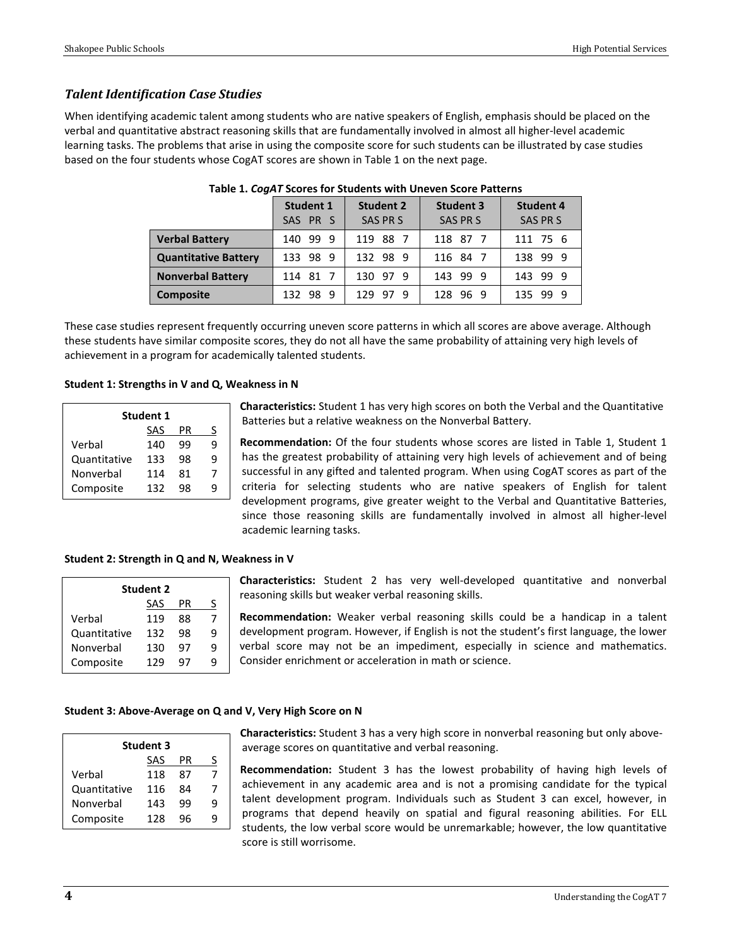# *Talent Identification Case Studies*

When identifying academic talent among students who are native speakers of English, emphasis should be placed on the verbal and quantitative abstract reasoning skills that are fundamentally involved in almost all higher-level academic learning tasks. The problems that arise in using the composite score for such students can be illustrated by case studies based on the four students whose CogAT scores are shown in Table 1 on the next page.

|                             | <b>Student 1</b> | <b>Student 2</b> | <b>Student 3</b> | <b>Student 4</b> |
|-----------------------------|------------------|------------------|------------------|------------------|
|                             | SAS PR S         | SAS PR S         | SAS PR S         | SAS PR S         |
| <b>Verbal Battery</b>       | 140 99 9         | 119 88 7         | 118 87 7         | 111 75 6         |
| <b>Quantitative Battery</b> | 133 98 9         | 132 98 9         | 116 84 7         | 138 99 9         |
| <b>Nonverbal Battery</b>    | 114 81 7         | 130 97 9         | 143 99 9         | 143 99 9         |
| <b>Composite</b>            | 132 98 9         | 129 97 9         | 128 96 9         | 135 99 9         |
|                             |                  |                  |                  |                  |

These case studies represent frequently occurring uneven score patterns in which all scores are above average. Although these students have similar composite scores, they do not all have the same probability of attaining very high levels of achievement in a program for academically talented students.

## **Student 1: Strengths in V and Q, Weakness in N**

| <b>Student 1</b> |     |    |   |
|------------------|-----|----|---|
|                  | SAS | PR | S |
| Verbal           | 140 | ٩q | q |
| Quantitative     | 133 | 98 | q |
| Nonverbal        | 114 | 81 | 7 |
| Composite        | 132 | 98 | q |
|                  |     |    |   |

**Characteristics:** Student 1 has very high scores on both the Verbal and the Quantitative Batteries but a relative weakness on the Nonverbal Battery.

**Recommendation:** Of the four students whose scores are listed in Table 1, Student 1 has the greatest probability of attaining very high levels of achievement and of being successful in any gifted and talented program. When using CogAT scores as part of the criteria for selecting students who are native speakers of English for talent development programs, give greater weight to the Verbal and Quantitative Batteries, since those reasoning skills are fundamentally involved in almost all higher-level academic learning tasks.

#### **Student 2: Strength in Q and N, Weakness in V**

| <b>Student 2</b> |     |    |   |
|------------------|-----|----|---|
|                  | SAS | PR | ς |
| Verbal           | 119 | 88 | 7 |
| Quantitative     | 132 | 98 | ٩ |
| Nonverbal        | 130 | 97 | ٩ |
| Composite        | 129 | 97 | q |

**Characteristics:** Student 2 has very well-developed quantitative and nonverbal reasoning skills but weaker verbal reasoning skills.

**Recommendation:** Weaker verbal reasoning skills could be a handicap in a talent development program. However, if English is not the student's first language, the lower verbal score may not be an impediment, especially in science and mathematics. Consider enrichment or acceleration in math or science.

#### **Student 3: Above-Average on Q and V, Very High Score on N**

| <b>Student 3</b> |     |    |   |
|------------------|-----|----|---|
|                  | SAS | PR | S |
| Verbal           | 118 | 87 | 7 |
| Quantitative     | 116 | 84 | 7 |
| Nonverbal        | 143 | 99 | q |
| Composite        | 128 | 96 | q |

**Characteristics:** Student 3 has a very high score in nonverbal reasoning but only aboveaverage scores on quantitative and verbal reasoning.

**Recommendation:** Student 3 has the lowest probability of having high levels of achievement in any academic area and is not a promising candidate for the typical talent development program. Individuals such as Student 3 can excel, however, in programs that depend heavily on spatial and figural reasoning abilities. For ELL students, the low verbal score would be unremarkable; however, the low quantitative score is still worrisome.